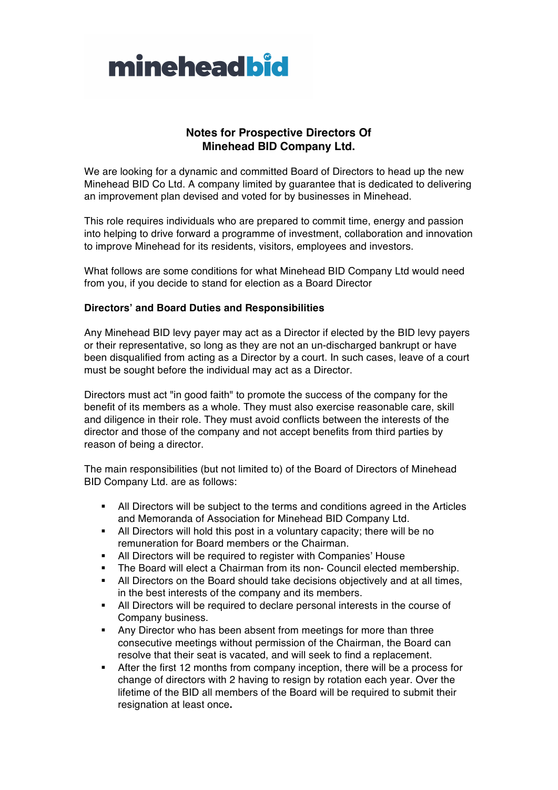

## **Notes for Prospective Directors Of Minehead BID Company Ltd.**

We are looking for a dynamic and committed Board of Directors to head up the new Minehead BID Co Ltd. A company limited by guarantee that is dedicated to delivering an improvement plan devised and voted for by businesses in Minehead.

This role requires individuals who are prepared to commit time, energy and passion into helping to drive forward a programme of investment, collaboration and innovation to improve Minehead for its residents, visitors, employees and investors.

What follows are some conditions for what Minehead BID Company Ltd would need from you, if you decide to stand for election as a Board Director

## **Directors' and Board Duties and Responsibilities**

Any Minehead BID levy payer may act as a Director if elected by the BID levy payers or their representative, so long as they are not an un-discharged bankrupt or have been disqualified from acting as a Director by a court. In such cases, leave of a court must be sought before the individual may act as a Director.

Directors must act "in good faith" to promote the success of the company for the benefit of its members as a whole. They must also exercise reasonable care, skill and diligence in their role. They must avoid conflicts between the interests of the director and those of the company and not accept benefits from third parties by reason of being a director.

The main responsibilities (but not limited to) of the Board of Directors of Minehead BID Company Ltd. are as follows:

- All Directors will be subject to the terms and conditions agreed in the Articles and Memoranda of Association for Minehead BID Company Ltd.
- All Directors will hold this post in a voluntary capacity; there will be no remuneration for Board members or the Chairman.
- § All Directors will be required to register with Companies' House
- The Board will elect a Chairman from its non- Council elected membership.
- All Directors on the Board should take decisions objectively and at all times, in the best interests of the company and its members.
- § All Directors will be required to declare personal interests in the course of Company business.
- Any Director who has been absent from meetings for more than three consecutive meetings without permission of the Chairman, the Board can resolve that their seat is vacated, and will seek to find a replacement.
- After the first 12 months from company inception, there will be a process for change of directors with 2 having to resign by rotation each year. Over the lifetime of the BID all members of the Board will be required to submit their resignation at least once**.**